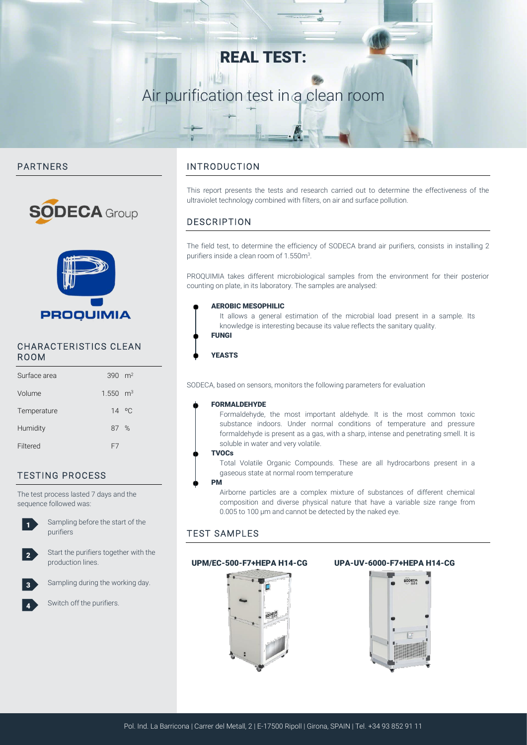## REAL TEST:

## Air purification test in a clean room

#### PARTNERS





#### CHARACTERISTICS CLEAN ROOM

| Surface area | 390 $m2$               |  |
|--------------|------------------------|--|
| Volume       | $1.550$ m <sup>3</sup> |  |
| Temperature  | 14 °C                  |  |
| Humidity     | 87 %                   |  |
| Filtered     | F7                     |  |

### TESTING PROCESS

The test process lasted 7 days and the sequence followed was:



2

3

4

Sampling before the start of the purifiers

Start the purifiers together with the production lines.

Sampling during the working day.

#### Switch off the purifiers.

#### INTRODUCTION

This report presents the tests and research carried out to determine the effectiveness of the ultraviolet technology combined with filters, on air and surface pollution.

#### DESCRIPTION

The field test, to determine the efficiency of SODECA brand air purifiers, consists in installing 2 purifiers inside a clean room of 1.550m<sup>3</sup>.

PROQUIMIA takes different microbiological samples from the environment for their posterior counting on plate, in its laboratory. The samples are analysed:

#### AEROBIC MESOPHILIC

It allows a general estimation of the microbial load present in a sample. Its knowledge is interesting because its value reflects the sanitary quality.



YEASTS

SODECA, based on sensors, monitors the following parameters for evaluation

#### FORMALDEHYDE

Formaldehyde, the most important aldehyde. It is the most common toxic substance indoors. Under normal conditions of temperature and pressure formaldehyde is present as a gas, with a sharp, intense and penetrating smell. It is soluble in water and very volatile.

#### **TVOCs**

Total Volatile Organic Compounds. These are all hydrocarbons present in a gaseous state at normal room temperature

#### PM

Airborne particles are a complex mixture of substances of different chemical composition and diverse physical nature that have a variable size range from 0.005 to 100 μm and cannot be detected by the naked eye.

#### TEST SAMPLES



#### UPM/EC-500-F7+HEPA H14-CG UPA-UV-6000-F7+HEPA H14-CG